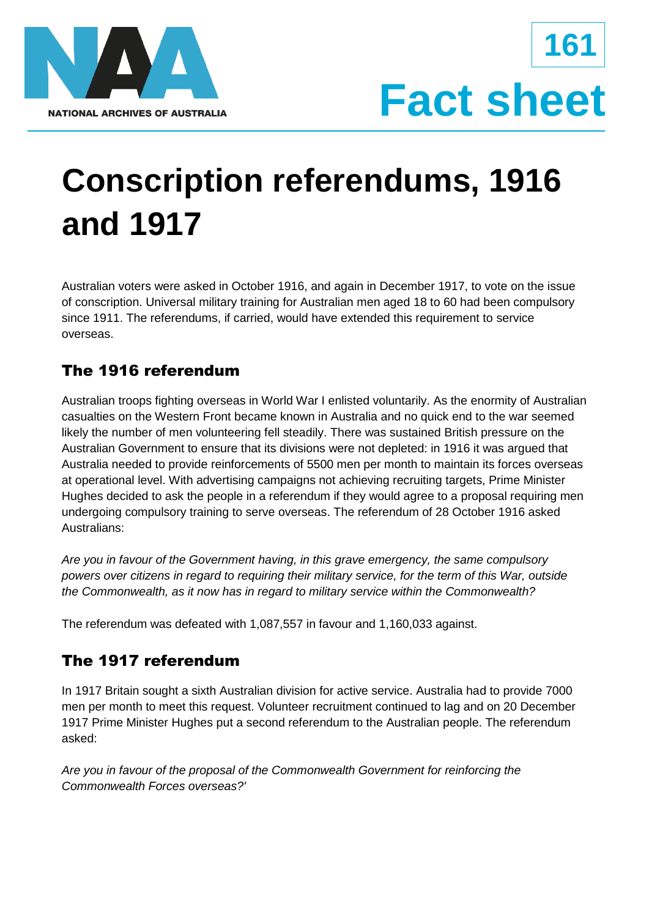



# **Conscription referendums, 1916 and 1917**

Australian voters were asked in October 1916, and again in December 1917, to vote on the issue of conscription. Universal military training for Australian men aged 18 to 60 had been compulsory since 1911. The referendums, if carried, would have extended this requirement to service overseas.

# The 1916 referendum

Australian troops fighting overseas in World War I enlisted voluntarily. As the enormity of Australian casualties on the Western Front became known in Australia and no quick end to the war seemed likely the number of men volunteering fell steadily. There was sustained British pressure on the Australian Government to ensure that its divisions were not depleted: in 1916 it was argued that Australia needed to provide reinforcements of 5500 men per month to maintain its forces overseas at operational level. With advertising campaigns not achieving recruiting targets, Prime Minister Hughes decided to ask the people in a referendum if they would agree to a proposal requiring men undergoing compulsory training to serve overseas. The referendum of 28 October 1916 asked Australians:

*Are you in favour of the Government having, in this grave emergency, the same compulsory powers over citizens in regard to requiring their military service, for the term of this War, outside the Commonwealth, as it now has in regard to military service within the Commonwealth?*

The referendum was defeated with 1,087,557 in favour and 1,160,033 against.

# The 1917 referendum

In 1917 Britain sought a sixth Australian division for active service. Australia had to provide 7000 men per month to meet this request. Volunteer recruitment continued to lag and on 20 December 1917 Prime Minister Hughes put a second referendum to the Australian people. The referendum asked:

*Are you in favour of the proposal of the Commonwealth Government for reinforcing the Commonwealth Forces overseas?'*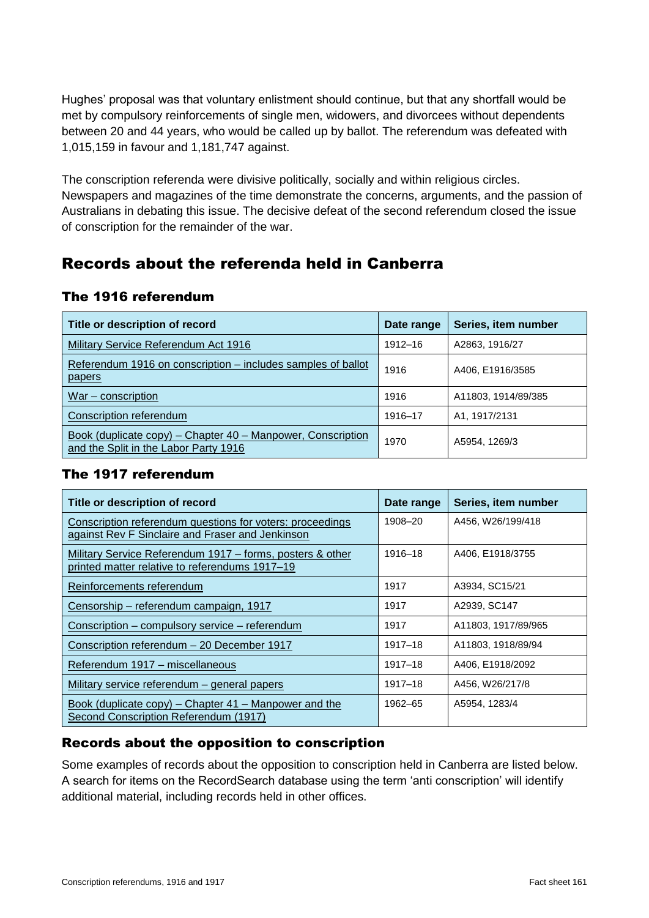Hughes' proposal was that voluntary enlistment should continue, but that any shortfall would be met by compulsory reinforcements of single men, widowers, and divorcees without dependents between 20 and 44 years, who would be called up by ballot. The referendum was defeated with 1,015,159 in favour and 1,181,747 against.

The conscription referenda were divisive politically, socially and within religious circles. Newspapers and magazines of the time demonstrate the concerns, arguments, and the passion of Australians in debating this issue. The decisive defeat of the second referendum closed the issue of conscription for the remainder of the war.

## Records about the referenda held in Canberra

#### The 1916 referendum

| Title or description of record                                                                       | Date range  | Series, item number |
|------------------------------------------------------------------------------------------------------|-------------|---------------------|
| Military Service Referendum Act 1916                                                                 | $1912 - 16$ | A2863, 1916/27      |
| Referendum 1916 on conscription – includes samples of ballot<br>papers                               | 1916        | A406, E1916/3585    |
| $War$ – conscription                                                                                 | 1916        | A11803, 1914/89/385 |
| Conscription referendum                                                                              | 1916-17     | A1, 1917/2131       |
| Book (duplicate copy) - Chapter 40 - Manpower, Conscription<br>and the Split in the Labor Party 1916 | 1970        | A5954, 1269/3       |

### The 1917 referendum

| Title or description of record                                                                                | Date range | Series, item number |
|---------------------------------------------------------------------------------------------------------------|------------|---------------------|
| Conscription referendum questions for voters: proceedings<br>against Rev F Sinclaire and Fraser and Jenkinson | 1908-20    | A456, W26/199/418   |
| Military Service Referendum 1917 – forms, posters & other<br>printed matter relative to referendums 1917-19   | 1916-18    | A406, E1918/3755    |
| Reinforcements referendum                                                                                     | 1917       | A3934, SC15/21      |
| Censorship - referendum campaign, 1917                                                                        | 1917       | A2939, SC147        |
| Conscription – compulsory service – referendum                                                                | 1917       | A11803, 1917/89/965 |
| Conscription referendum - 20 December 1917                                                                    | 1917-18    | A11803, 1918/89/94  |
| Referendum 1917 - miscellaneous                                                                               | 1917-18    | A406, E1918/2092    |
| Military service referendum - general papers                                                                  | 1917-18    | A456, W26/217/8     |
| Book (duplicate copy) – Chapter 41 – Manpower and the<br>Second Conscription Referendum (1917)                | 1962-65    | A5954, 1283/4       |

## Records about the opposition to conscription

Some examples of records about the opposition to conscription held in Canberra are listed below. A search for items on the RecordSearch database using the term 'anti conscription' will identify additional material, including records held in other offices.